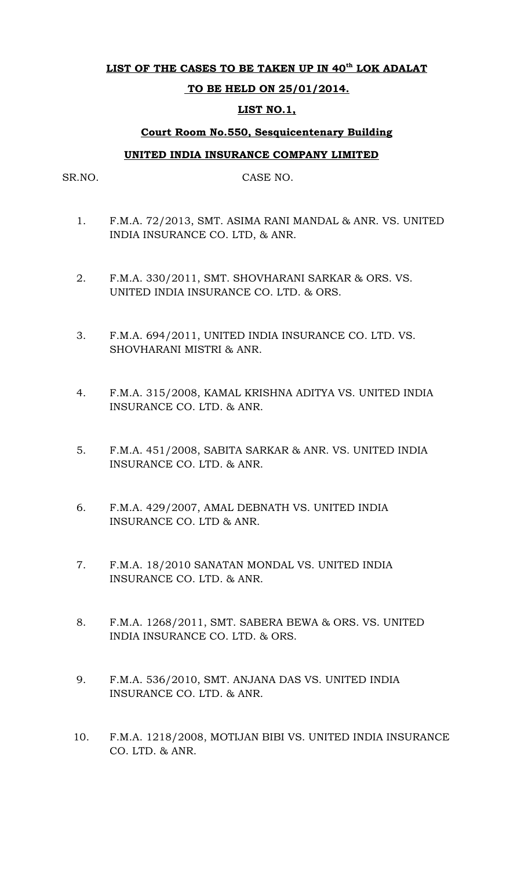### **LIST OF THE CASES TO BE TAKEN UP IN 40th LOK ADALAT**

### **TO BE HELD ON 25/01/2014.**

### **LIST NO.1,**

# **Court Room No.550, Sesquicentenary Building**

### **UNITED INDIA INSURANCE COMPANY LIMITED**

SR.NO. CASE NO.

- 1. F.M.A. 72/2013, SMT. ASIMA RANI MANDAL & ANR. VS. UNITED INDIA INSURANCE CO. LTD, & ANR.
- 2. F.M.A. 330/2011, SMT. SHOVHARANI SARKAR & ORS. VS. UNITED INDIA INSURANCE CO. LTD. & ORS.
- 3. F.M.A. 694/2011, UNITED INDIA INSURANCE CO. LTD. VS. SHOVHARANI MISTRI & ANR.
- 4. F.M.A. 315/2008, KAMAL KRISHNA ADITYA VS. UNITED INDIA INSURANCE CO. LTD. & ANR.
- 5. F.M.A. 451/2008, SABITA SARKAR & ANR. VS. UNITED INDIA INSURANCE CO. LTD. & ANR.
- 6. F.M.A. 429/2007, AMAL DEBNATH VS. UNITED INDIA INSURANCE CO. LTD & ANR.
- 7. F.M.A. 18/2010 SANATAN MONDAL VS. UNITED INDIA INSURANCE CO. LTD. & ANR.
- 8. F.M.A. 1268/2011, SMT. SABERA BEWA & ORS. VS. UNITED INDIA INSURANCE CO. LTD. & ORS.
- 9. F.M.A. 536/2010, SMT. ANJANA DAS VS. UNITED INDIA INSURANCE CO. LTD. & ANR.
- 10. F.M.A. 1218/2008, MOTIJAN BIBI VS. UNITED INDIA INSURANCE CO. LTD. & ANR.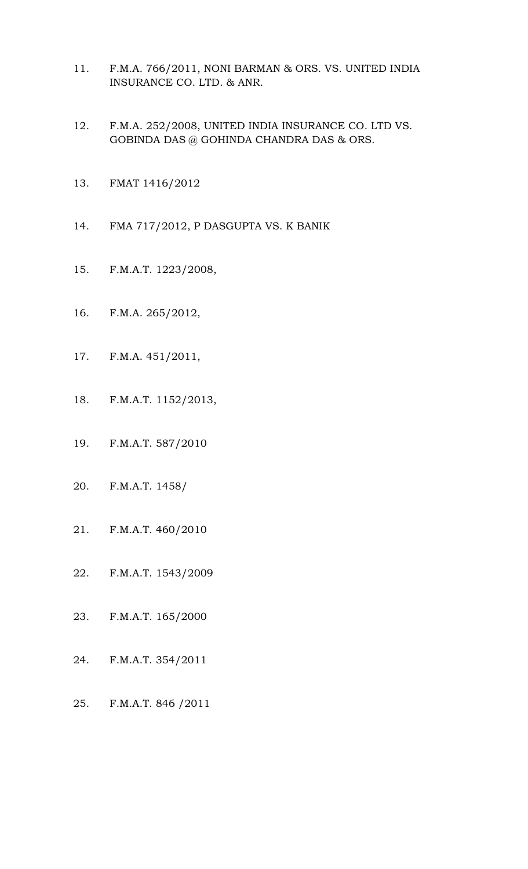- 11. F.M.A. 766/2011, NONI BARMAN & ORS. VS. UNITED INDIA INSURANCE CO. LTD. & ANR.
- 12. F.M.A. 252/2008, UNITED INDIA INSURANCE CO. LTD VS. GOBINDA DAS  $@$  GOHINDA CHANDRA DAS  $\&$  ORS.
- 13. FMAT 1416/2012
- 14. FMA 717/2012, P DASGUPTA VS. K BANIK
- 15. F.M.A.T. 1223/2008,
- 16. F.M.A. 265/2012,
- 17. F.M.A. 451/2011,
- 18. F.M.A.T. 1152/2013,
- 19. F.M.A.T. 587/2010
- 20. F.M.A.T. 1458/
- 21. F.M.A.T. 460/2010
- 22. F.M.A.T. 1543/2009
- 23. F.M.A.T. 165/2000
- 24. F.M.A.T. 354/2011
- 25. F.M.A.T. 846 /2011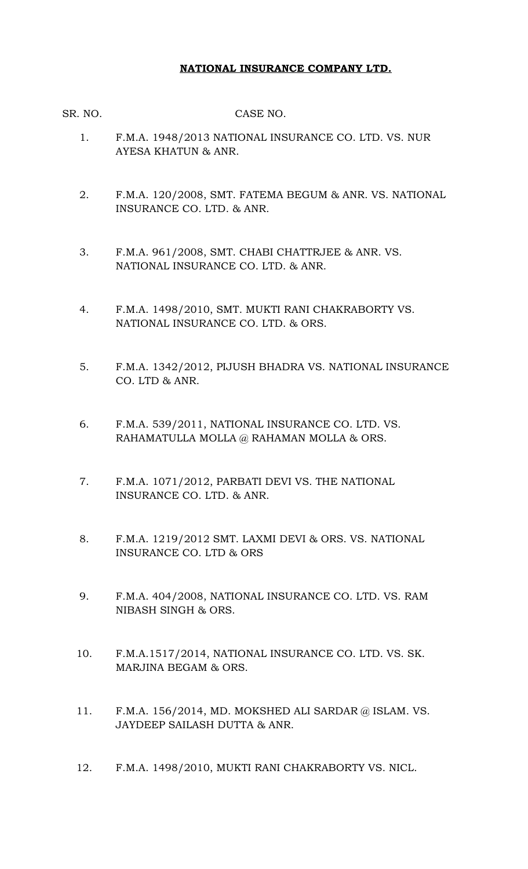# **NATIONAL INSURANCE COMPANY LTD.**

SR. NO. CASE NO.

- 1. F.M.A. 1948/2013 NATIONAL INSURANCE CO. LTD. VS. NUR AYESA KHATUN & ANR.
- 2. F.M.A. 120/2008, SMT. FATEMA BEGUM & ANR. VS. NATIONAL INSURANCE CO. LTD. & ANR.
- 3. F.M.A. 961/2008, SMT. CHABI CHATTRJEE & ANR. VS. NATIONAL INSURANCE CO. LTD. & ANR.
- 4. F.M.A. 1498/2010, SMT. MUKTI RANI CHAKRABORTY VS. NATIONAL INSURANCE CO. LTD. & ORS.
- 5. F.M.A. 1342/2012, PIJUSH BHADRA VS. NATIONAL INSURANCE CO. LTD & ANR.
- 6. F.M.A. 539/2011, NATIONAL INSURANCE CO. LTD. VS. RAHAMATULLA MOLLA @ RAHAMAN MOLLA & ORS.
- 7. F.M.A. 1071/2012, PARBATI DEVI VS. THE NATIONAL INSURANCE CO. LTD. & ANR.
- 8. F.M.A. 1219/2012 SMT. LAXMI DEVI & ORS. VS. NATIONAL INSURANCE CO. LTD & ORS
- 9. F.M.A. 404/2008, NATIONAL INSURANCE CO. LTD. VS. RAM NIBASH SINGH & ORS.
- 10. F.M.A.1517/2014, NATIONAL INSURANCE CO. LTD. VS. SK. MARJINA BEGAM & ORS.
- 11. F.M.A. 156/2014, MD. MOKSHED ALI SARDAR @ ISLAM. VS. JAYDEEP SAILASH DUTTA & ANR.
- 12. F.M.A. 1498/2010, MUKTI RANI CHAKRABORTY VS. NICL.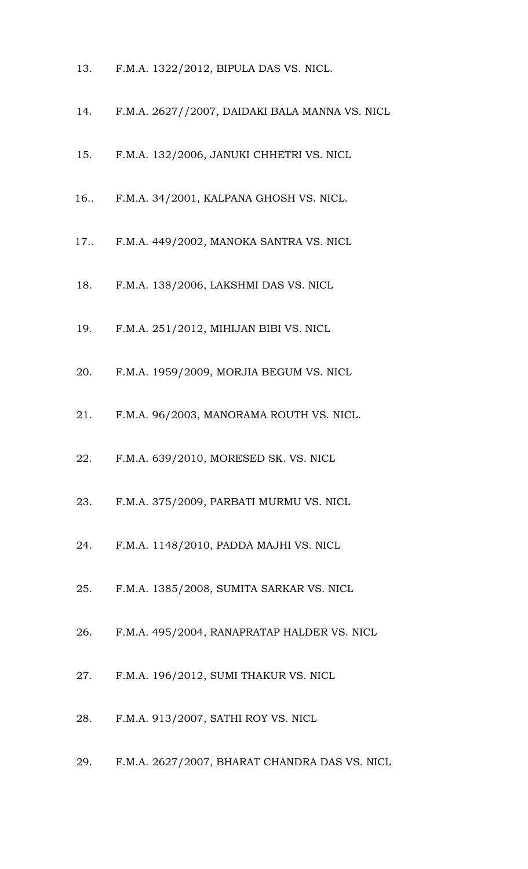- 13. F.M.A. 1322/2012, BIPULA DAS VS. NICL.
- 14. F.M.A. 2627//2007, DAIDAKI BALA MANNA VS. NICL
- 15. F.M.A. 132/2006, JANUKI CHHETRI VS. NICL
- 16.. F.M.A. 34/2001, KALPANA GHOSH VS. NICL.
- 17.. F.M.A. 449/2002, MANOKA SANTRA VS. NICL
- 18. F.M.A. 138/2006, LAKSHMI DAS VS. NICL
- 19. F.M.A. 251/2012, MIHIJAN BIBI VS. NICL
- 20. F.M.A. 1959/2009, MORJIA BEGUM VS. NICL
- 21. F.M.A. 96/2003, MANORAMA ROUTH VS. NICL.
- 22. F.M.A. 639/2010, MORESED SK. VS. NICL
- 23. F.M.A. 375/2009, PARBATI MURMU VS. NICL
- 24. F.M.A. 1148/2010, PADDA MAJHI VS. NICL
- 25. F.M.A. 1385/2008, SUMITA SARKAR VS. NICL
- 26. F.M.A. 495/2004, RANAPRATAP HALDER VS. NICL
- 27. F.M.A. 196/2012, SUMI THAKUR VS. NICL
- 28. F.M.A. 913/2007, SATHI ROY VS. NICL
- 29. F.M.A. 2627/2007, BHARAT CHANDRA DAS VS. NICL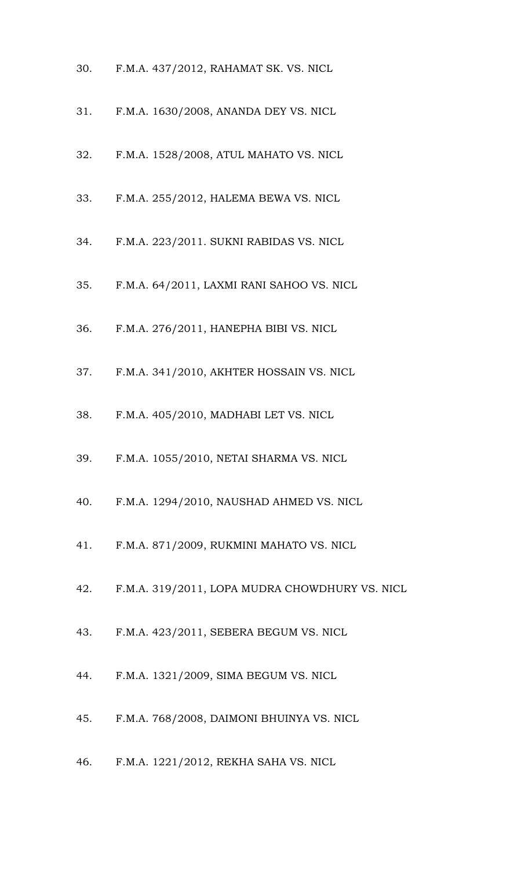- 30. F.M.A. 437/2012, RAHAMAT SK. VS. NICL
- 31. F.M.A. 1630/2008, ANANDA DEY VS. NICL
- 32. F.M.A. 1528/2008, ATUL MAHATO VS. NICL
- 33. F.M.A. 255/2012, HALEMA BEWA VS. NICL
- 34. F.M.A. 223/2011. SUKNI RABIDAS VS. NICL
- 35. F.M.A. 64/2011, LAXMI RANI SAHOO VS. NICL
- 36. F.M.A. 276/2011, HANEPHA BIBI VS. NICL
- 37. F.M.A. 341/2010, AKHTER HOSSAIN VS. NICL
- 38. F.M.A. 405/2010, MADHABI LET VS. NICL
- 39. F.M.A. 1055/2010, NETAI SHARMA VS. NICL
- 40. F.M.A. 1294/2010, NAUSHAD AHMED VS. NICL
- 41. F.M.A. 871/2009, RUKMINI MAHATO VS. NICL
- 42. F.M.A. 319/2011, LOPA MUDRA CHOWDHURY VS. NICL
- 43. F.M.A. 423/2011, SEBERA BEGUM VS. NICL
- 44. F.M.A. 1321/2009, SIMA BEGUM VS. NICL
- 45. F.M.A. 768/2008, DAIMONI BHUINYA VS. NICL
- 46. F.M.A. 1221/2012, REKHA SAHA VS. NICL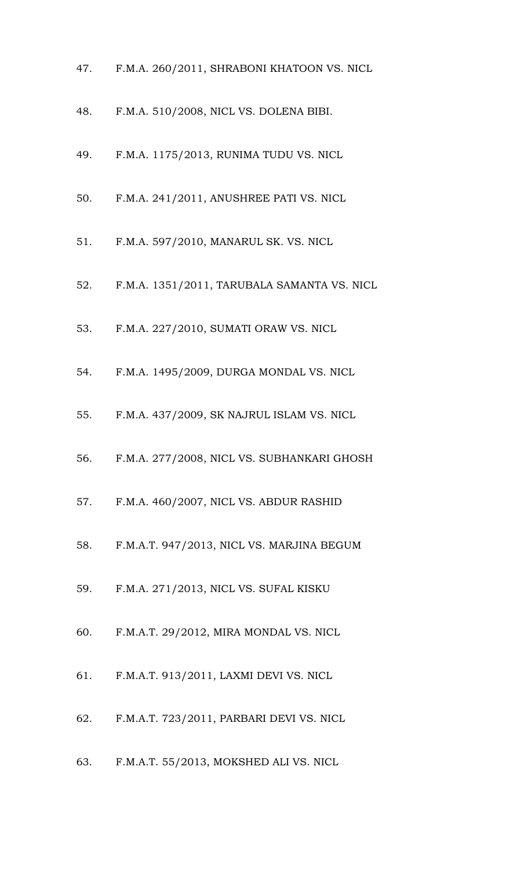- 47. F.M.A. 260/2011, SHRABONI KHATOON VS. NICL
- 48. F.M.A. 510/2008, NICL VS. DOLENA BIBI.
- 49. F.M.A. 1175/2013, RUNIMA TUDU VS. NICL
- 50. F.M.A. 241/2011, ANUSHREE PATI VS. NICL
- 51. F.M.A. 597/2010, MANARUL SK. VS. NICL
- 52. F.M.A. 1351/2011, TARUBALA SAMANTA VS. NICL
- 53. F.M.A. 227/2010, SUMATI ORAW VS. NICL
- 54. F.M.A. 1495/2009, DURGA MONDAL VS. NICL
- 55. F.M.A. 437/2009, SK NAJRUL ISLAM VS. NICL
- 56. F.M.A. 277/2008, NICL VS. SUBHANKARI GHOSH
- 57. F.M.A. 460/2007, NICL VS. ABDUR RASHID
- 58. F.M.A.T. 947/2013, NICL VS. MARJINA BEGUM
- 59. F.M.A. 271/2013, NICL VS. SUFAL KISKU
- 60. F.M.A.T. 29/2012, MIRA MONDAL VS. NICL
- 61. F.M.A.T. 913/2011, LAXMI DEVI VS. NICL
- 62. F.M.A.T. 723/2011, PARBARI DEVI VS. NICL
- 63. F.M.A.T. 55/2013, MOKSHED ALI VS. NICL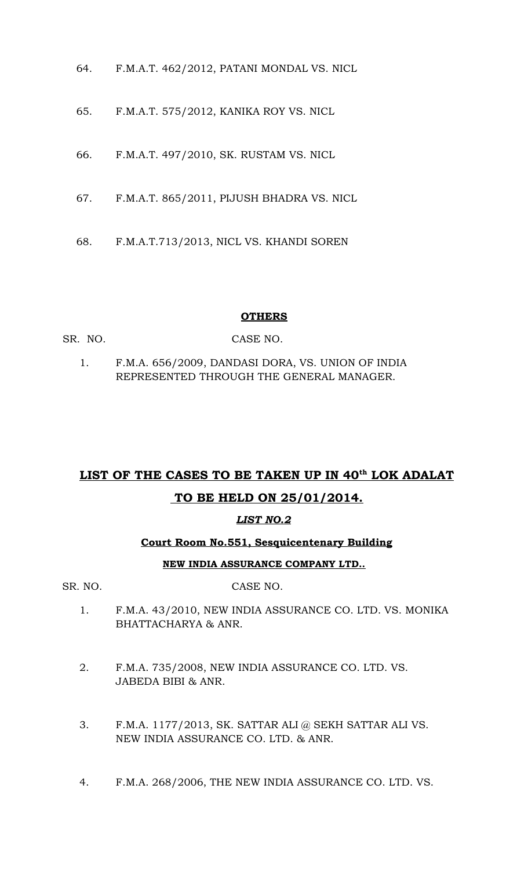- 64. F.M.A.T. 462/2012, PATANI MONDAL VS. NICL
- 65. F.M.A.T. 575/2012, KANIKA ROY VS. NICL
- 66. F.M.A.T. 497/2010, SK. RUSTAM VS. NICL
- 67. F.M.A.T. 865/2011, PIJUSH BHADRA VS. NICL
- 68. F.M.A.T.713/2013, NICL VS. KHANDI SOREN

### **OTHERS**

- SR. NO. CASE NO.
	- 1. F.M.A. 656/2009, DANDASI DORA, VS. UNION OF INDIA REPRESENTED THROUGH THE GENERAL MANAGER.

# **LIST OF THE CASES TO BE TAKEN UP IN 40th LOK ADALAT TO BE HELD ON 25/01/2014.**

# *LIST NO.2*

# **Court Room No.551, Sesquicentenary Building**

# **NEW INDIA ASSURANCE COMPANY LTD..**

### SR. NO. CASE NO.

- 1. F.M.A. 43/2010, NEW INDIA ASSURANCE CO. LTD. VS. MONIKA BHATTACHARYA & ANR.
- 2. F.M.A. 735/2008, NEW INDIA ASSURANCE CO. LTD. VS. JABEDA BIBI & ANR.
- 3. F.M.A. 1177/2013, SK. SATTAR ALI @ SEKH SATTAR ALI VS. NEW INDIA ASSURANCE CO. LTD. & ANR.
- 4. F.M.A. 268/2006, THE NEW INDIA ASSURANCE CO. LTD. VS.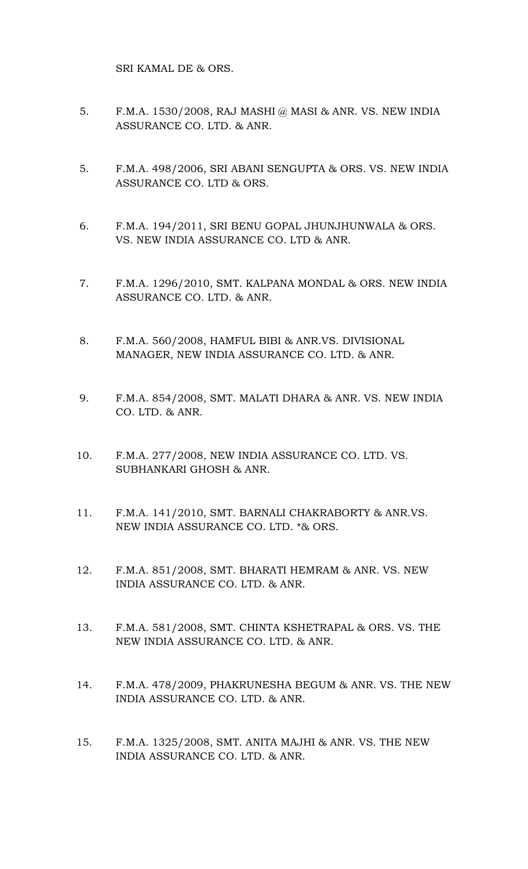SRI KAMAL DE & ORS.

- 5. F.M.A. 1530/2008, RAJ MASHI @ MASI & ANR. VS. NEW INDIA ASSURANCE CO. LTD. & ANR.
- 5. F.M.A. 498/2006, SRI ABANI SENGUPTA & ORS. VS. NEW INDIA ASSURANCE CO. LTD & ORS.
- 6. F.M.A. 194/2011, SRI BENU GOPAL JHUNJHUNWALA & ORS. VS. NEW INDIA ASSURANCE CO. LTD & ANR.
- 7. F.M.A. 1296/2010, SMT. KALPANA MONDAL & ORS. NEW INDIA ASSURANCE CO. LTD. & ANR.
- 8. F.M.A. 560/2008, HAMFUL BIBI & ANR.VS. DIVISIONAL MANAGER, NEW INDIA ASSURANCE CO. LTD. & ANR.
- 9. F.M.A. 854/2008, SMT. MALATI DHARA & ANR. VS. NEW INDIA CO. LTD. & ANR.
- 10. F.M.A. 277/2008, NEW INDIA ASSURANCE CO. LTD. VS. SUBHANKARI GHOSH & ANR.
- 11. F.M.A. 141/2010, SMT. BARNALI CHAKRABORTY & ANR.VS. NEW INDIA ASSURANCE CO. LTD. \*& ORS.
- 12. F.M.A. 851/2008, SMT. BHARATI HEMRAM & ANR. VS. NEW INDIA ASSURANCE CO. LTD. & ANR.
- 13. F.M.A. 581/2008, SMT. CHINTA KSHETRAPAL & ORS. VS. THE NEW INDIA ASSURANCE CO. LTD. & ANR.
- 14. F.M.A. 478/2009, PHAKRUNESHA BEGUM & ANR. VS. THE NEW INDIA ASSURANCE CO. LTD. & ANR.
- 15. F.M.A. 1325/2008, SMT. ANITA MAJHI & ANR. VS. THE NEW INDIA ASSURANCE CO. LTD. & ANR.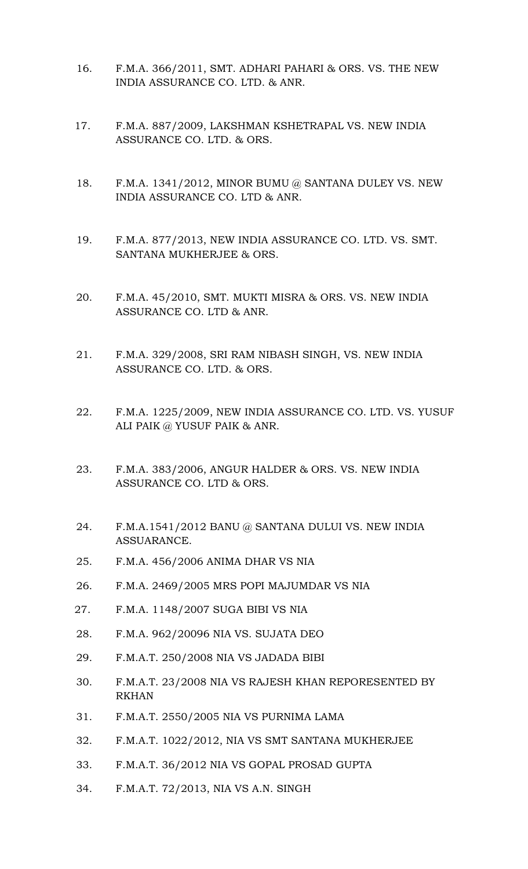- 16. F.M.A. 366/2011, SMT. ADHARI PAHARI & ORS. VS. THE NEW INDIA ASSURANCE CO. LTD. & ANR.
- 17. F.M.A. 887/2009, LAKSHMAN KSHETRAPAL VS. NEW INDIA ASSURANCE CO. LTD. & ORS.
- 18. F.M.A. 1341/2012, MINOR BUMU @ SANTANA DULEY VS. NEW INDIA ASSURANCE CO. LTD & ANR.
- 19. F.M.A. 877/2013, NEW INDIA ASSURANCE CO. LTD. VS. SMT. SANTANA MUKHERJEE & ORS.
- 20. F.M.A. 45/2010, SMT. MUKTI MISRA & ORS. VS. NEW INDIA ASSURANCE CO. LTD & ANR.
- 21. F.M.A. 329/2008, SRI RAM NIBASH SINGH, VS. NEW INDIA ASSURANCE CO. LTD. & ORS.
- 22. F.M.A. 1225/2009, NEW INDIA ASSURANCE CO. LTD. VS. YUSUF ALI PAIK @ YUSUF PAIK & ANR.
- 23. F.M.A. 383/2006, ANGUR HALDER & ORS. VS. NEW INDIA ASSURANCE CO. LTD & ORS.
- 24. F.M.A.1541/2012 BANU @ SANTANA DULUI VS. NEW INDIA ASSUARANCE.
- 25. F.M.A. 456/2006 ANIMA DHAR VS NIA
- 26. F.M.A. 2469/2005 MRS POPI MAJUMDAR VS NIA
- 27. F.M.A. 1148/2007 SUGA BIBI VS NIA
- 28. F.M.A. 962/20096 NIA VS. SUJATA DEO
- 29. F.M.A.T. 250/2008 NIA VS JADADA BIBI
- 30. F.M.A.T. 23/2008 NIA VS RAJESH KHAN REPORESENTED BY RKHAN
- 31. F.M.A.T. 2550/2005 NIA VS PURNIMA LAMA
- 32. F.M.A.T. 1022/2012, NIA VS SMT SANTANA MUKHERJEE
- 33. F.M.A.T. 36/2012 NIA VS GOPAL PROSAD GUPTA
- 34. F.M.A.T. 72/2013, NIA VS A.N. SINGH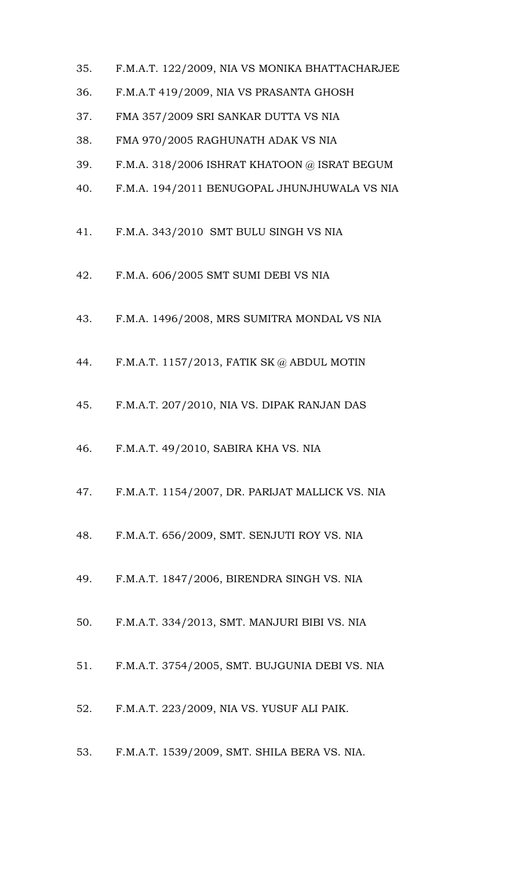- 35. F.M.A.T. 122/2009, NIA VS MONIKA BHATTACHARJEE
- 36. F.M.A.T 419/2009, NIA VS PRASANTA GHOSH
- 37. FMA 357/2009 SRI SANKAR DUTTA VS NIA
- 38. FMA 970/2005 RAGHUNATH ADAK VS NIA
- 39. F.M.A. 318/2006 ISHRAT KHATOON @ ISRAT BEGUM
- 40. F.M.A. 194/2011 BENUGOPAL JHUNJHUWALA VS NIA
- 41. F.M.A. 343/2010 SMT BULU SINGH VS NIA
- 42. F.M.A. 606/2005 SMT SUMI DEBI VS NIA
- 43. F.M.A. 1496/2008, MRS SUMITRA MONDAL VS NIA
- 44. F.M.A.T. 1157/2013, FATIK SK @ ABDUL MOTIN
- 45. F.M.A.T. 207/2010, NIA VS. DIPAK RANJAN DAS
- 46. F.M.A.T. 49/2010, SABIRA KHA VS. NIA
- 47. F.M.A.T. 1154/2007, DR. PARIJAT MALLICK VS. NIA
- 48. F.M.A.T. 656/2009, SMT. SENJUTI ROY VS. NIA
- 49. F.M.A.T. 1847/2006, BIRENDRA SINGH VS. NIA
- 50. F.M.A.T. 334/2013, SMT. MANJURI BIBI VS. NIA
- 51. F.M.A.T. 3754/2005, SMT. BUJGUNIA DEBI VS. NIA
- 52. F.M.A.T. 223/2009, NIA VS. YUSUF ALI PAIK.
- 53. F.M.A.T. 1539/2009, SMT. SHILA BERA VS. NIA.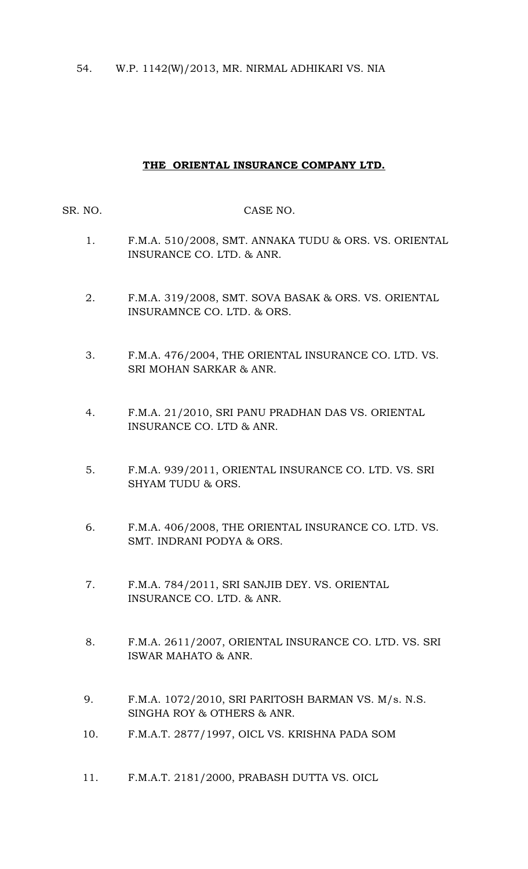54. W.P. 1142(W)/2013, MR. NIRMAL ADHIKARI VS. NIA

## **THE ORIENTAL INSURANCE COMPANY LTD.**

SR. NO. CASE NO.

- 1. F.M.A. 510/2008, SMT. ANNAKA TUDU & ORS. VS. ORIENTAL INSURANCE CO. LTD. & ANR.
- 2. F.M.A. 319/2008, SMT. SOVA BASAK & ORS. VS. ORIENTAL INSURAMNCE CO. LTD. & ORS.
- 3. F.M.A. 476/2004, THE ORIENTAL INSURANCE CO. LTD. VS. SRI MOHAN SARKAR & ANR.
- 4. F.M.A. 21/2010, SRI PANU PRADHAN DAS VS. ORIENTAL INSURANCE CO. LTD & ANR.
- 5. F.M.A. 939/2011, ORIENTAL INSURANCE CO. LTD. VS. SRI SHYAM TUDU & ORS.
- 6. F.M.A. 406/2008, THE ORIENTAL INSURANCE CO. LTD. VS. SMT. INDRANI PODYA & ORS.
- 7. F.M.A. 784/2011, SRI SANJIB DEY. VS. ORIENTAL INSURANCE CO. LTD. & ANR.
- 8. F.M.A. 2611/2007, ORIENTAL INSURANCE CO. LTD. VS. SRI ISWAR MAHATO & ANR.
- 9. F.M.A. 1072/2010, SRI PARITOSH BARMAN VS. M/s. N.S. SINGHA ROY & OTHERS & ANR.
- 10. F.M.A.T. 2877/1997, OICL VS. KRISHNA PADA SOM
- 11. F.M.A.T. 2181/2000, PRABASH DUTTA VS. OICL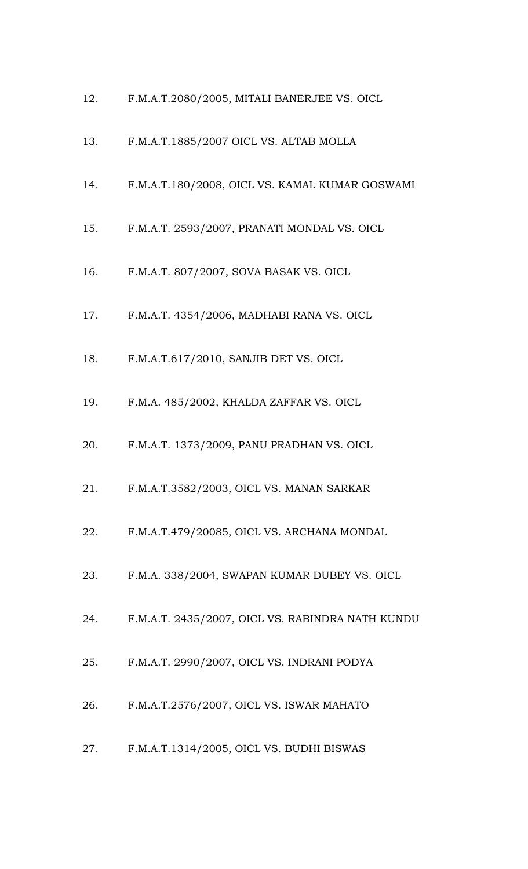- 12. F.M.A.T.2080/2005, MITALI BANERJEE VS. OICL
- 13. F.M.A.T.1885/2007 OICL VS. ALTAB MOLLA
- 14. F.M.A.T.180/2008, OICL VS. KAMAL KUMAR GOSWAMI
- 15. F.M.A.T. 2593/2007, PRANATI MONDAL VS. OICL
- 16. F.M.A.T. 807/2007, SOVA BASAK VS. OICL
- 17. F.M.A.T. 4354/2006, MADHABI RANA VS. OICL
- 18. F.M.A.T.617/2010, SANJIB DET VS. OICL
- 19. F.M.A. 485/2002, KHALDA ZAFFAR VS. OICL
- 20. F.M.A.T. 1373/2009, PANU PRADHAN VS. OICL
- 21. F.M.A.T.3582/2003, OICL VS. MANAN SARKAR
- 22. F.M.A.T.479/20085, OICL VS. ARCHANA MONDAL
- 23. F.M.A. 338/2004, SWAPAN KUMAR DUBEY VS. OICL
- 24. F.M.A.T. 2435/2007, OICL VS. RABINDRA NATH KUNDU
- 25. F.M.A.T. 2990/2007, OICL VS. INDRANI PODYA
- 26. F.M.A.T.2576/2007, OICL VS. ISWAR MAHATO
- 27. F.M.A.T.1314/2005, OICL VS. BUDHI BISWAS